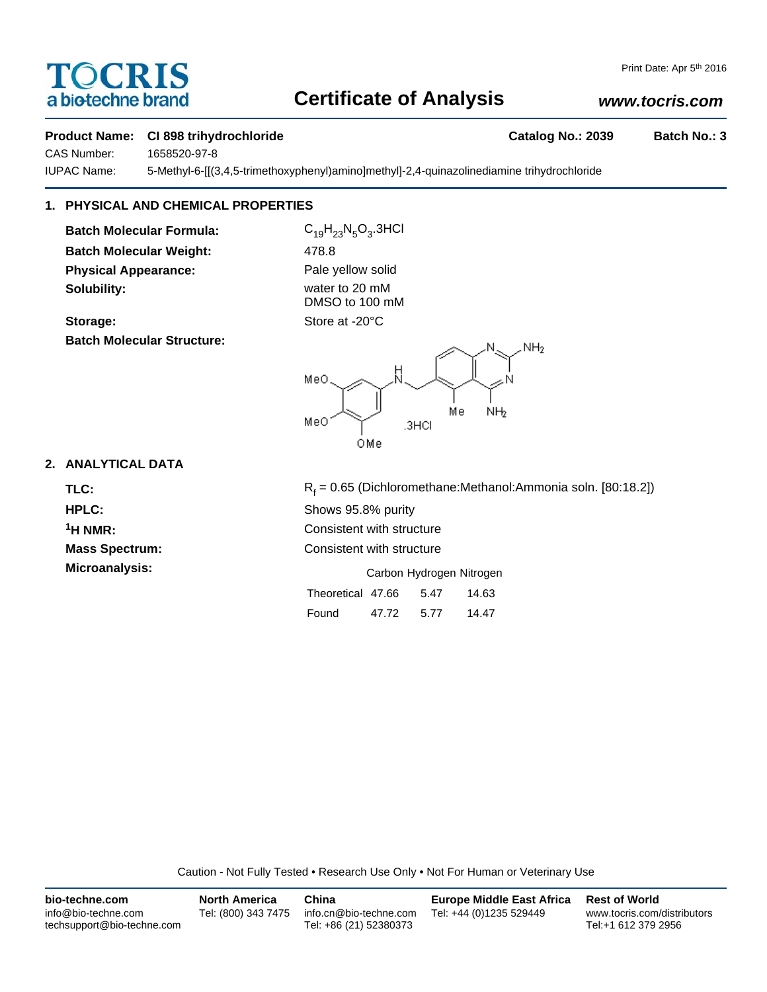# OCRIS a biotechne brand

## **Certificate of Analysis**

## *www.tocris.com*

## **Product Name: CI 898 trihydrochloride Catalog No.: 2039 Batch No.: 3**

CAS Number: 1658520-97-8

IUPAC Name: 5-Methyl-6-[[(3,4,5-trimethoxyphenyl)amino]methyl]-2,4-quinazolinediamine trihydrochloride

## **1. PHYSICAL AND CHEMICAL PROPERTIES**

**Batch Molecular Formula:** C<sub>19</sub>H<sub>23</sub>N<sub>5</sub>O<sub>3</sub>.3HCl **Batch Molecular Weight:** 478.8 **Physical Appearance:** Pale yellow solid **Solubility:** water to 20 mM

**Batch Molecular Structure:**

DMSO to 100 mM Storage: Store at -20°C



## **2. ANALYTICAL DATA**

TLC: R<sub>f</sub>

 $R_f = 0.65$  (Dichloromethane:Methanol:Ammonia soln. [80:18.2]) **HPLC:** Shows 95.8% purity **1H NMR:** Consistent with structure **Mass Spectrum:** Consistent with structure **Microanalysis:** Microanalysis: Exercise of Carbon Hydrogen Nitrogen

| Theoretical 47.66 |       | 5.47 | 14.63 |
|-------------------|-------|------|-------|
| Found             | 47.72 | 5.77 | 14.47 |

Caution - Not Fully Tested • Research Use Only • Not For Human or Veterinary Use

| bio-techne.com                                    | <b>North America</b> | China                                            | <b>Europe Middle East Africa</b> | <b>Rest of World</b>                               |
|---------------------------------------------------|----------------------|--------------------------------------------------|----------------------------------|----------------------------------------------------|
| info@bio-techne.com<br>techsupport@bio-techne.com | Tel: (800) 343 7475  | info.cn@bio-techne.com<br>Tel: +86 (21) 52380373 | Tel: +44 (0)1235 529449          | www.tocris.com/distributors<br>Tel:+1 612 379 2956 |